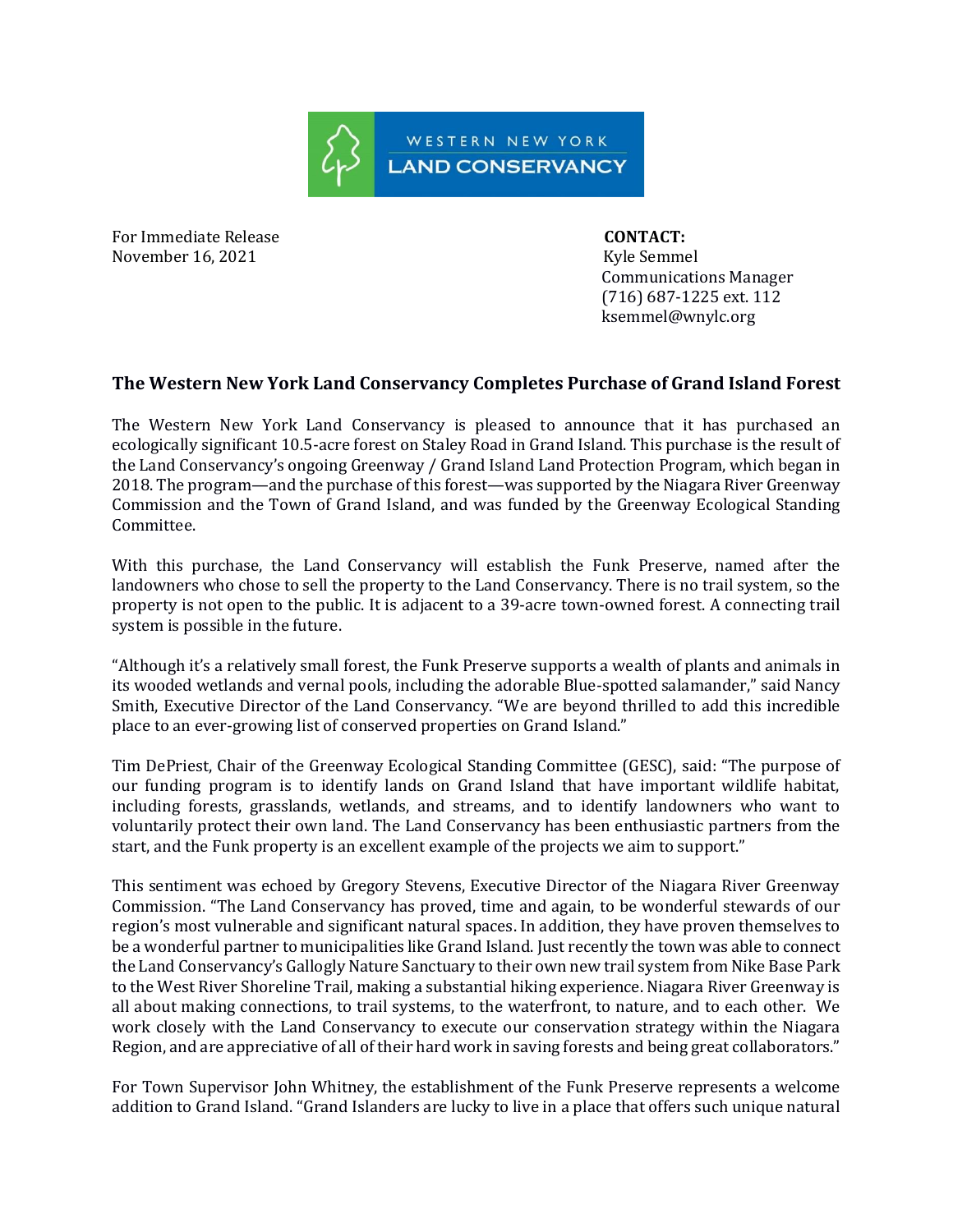

For Immediate Release **CONTACT:** November 16, 2021 Kyle Semmel

 Communications Manager (716) 687-1225 ext. 112 ksemmel@wnylc.org

## **The Western New York Land Conservancy Completes Purchase of Grand Island Forest**

The Western New York Land Conservancy is pleased to announce that it has purchased an ecologically significant 10.5-acre forest on Staley Road in Grand Island. This purchase is the result of the Land Conservancy's ongoing Greenway / Grand Island Land Protection Program, which began in 2018. The program—and the purchase of this forest—was supported by the Niagara River Greenway Commission and the Town of Grand Island, and was funded by the Greenway Ecological Standing Committee.

With this purchase, the Land Conservancy will establish the Funk Preserve, named after the landowners who chose to sell the property to the Land Conservancy. There is no trail system, so the property is not open to the public. It is adjacent to a 39-acre town-owned forest. A connecting trail system is possible in the future.

"Although it's a relatively small forest, the Funk Preserve supports a wealth of plants and animals in its wooded wetlands and vernal pools, including the adorable Blue-spotted salamander," said Nancy Smith, Executive Director of the Land Conservancy. "We are beyond thrilled to add this incredible place to an ever-growing list of conserved properties on Grand Island."

Tim DePriest, Chair of the Greenway Ecological Standing Committee (GESC), said: "The purpose of our funding program is to identify lands on Grand Island that have important wildlife habitat, including forests, grasslands, wetlands, and streams, and to identify landowners who want to voluntarily protect their own land. The Land Conservancy has been enthusiastic partners from the start, and the Funk property is an excellent example of the projects we aim to support."

This sentiment was echoed by Gregory Stevens, Executive Director of the Niagara River Greenway Commission. "The Land Conservancy has proved, time and again, to be wonderful stewards of our region's most vulnerable and significant natural spaces. In addition, they have proven themselves to be a wonderful partner to municipalities like Grand Island. Just recently the town was able to connect the Land Conservancy's Gallogly Nature Sanctuary to their own new trail system from Nike Base Park to the West River Shoreline Trail, making a substantial hiking experience. Niagara River Greenway is all about making connections, to trail systems, to the waterfront, to nature, and to each other. We work closely with the Land Conservancy to execute our conservation strategy within the Niagara Region, and are appreciative of all of their hard work in saving forests and being great collaborators."

For Town Supervisor John Whitney, the establishment of the Funk Preserve represents a welcome addition to Grand Island. "Grand Islanders are lucky to live in a place that offers such unique natural